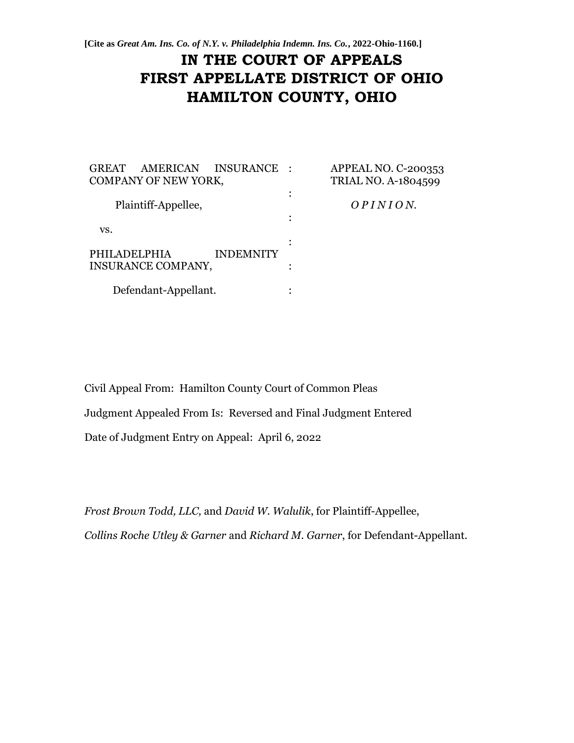**[Cite as** *Great Am. Ins. Co. of N.Y. v. Philadelphia Indemn. Ins. Co.***, 2022-Ohio-1160.]**

# **IN THE COURT OF APPEALS FIRST APPELLATE DISTRICT OF OHIO HAMILTON COUNTY, OHIO**

| AMERICAN INSURANCE<br><b>GREAT</b><br>COMPANY OF NEW YORK, | APPEAL NO. C-200353<br><b>TRIAL NO. A-1804599</b> |  |
|------------------------------------------------------------|---------------------------------------------------|--|
| Plaintiff-Appellee,                                        | OPINION.                                          |  |
| VS.                                                        |                                                   |  |
| PHILADELPHIA<br><b>INDEMNITY</b>                           |                                                   |  |
| INSURANCE COMPANY,                                         |                                                   |  |
| Defendant-Appellant.                                       |                                                   |  |

Civil Appeal From: Hamilton County Court of Common Pleas Judgment Appealed From Is: Reversed and Final Judgment Entered Date of Judgment Entry on Appeal: April 6, 2022

*Frost Brown Todd, LLC,* and *David W. Walulik*, for Plaintiff-Appellee, *Collins Roche Utley & Garner* and *Richard M. Garner*, for Defendant-Appellant.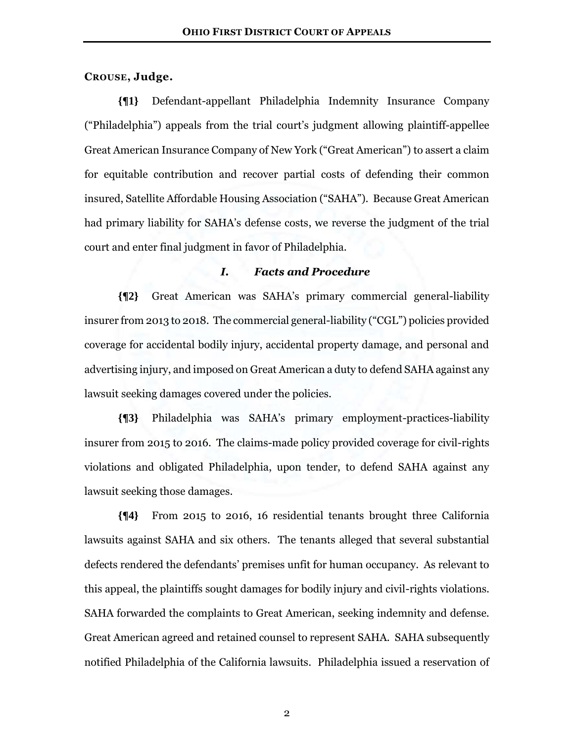#### **CROUSE, Judge.**

**{¶1}** Defendant-appellant Philadelphia Indemnity Insurance Company ("Philadelphia") appeals from the trial court's judgment allowing plaintiff-appellee Great American Insurance Company of New York ("Great American") to assert a claim for equitable contribution and recover partial costs of defending their common insured, Satellite Affordable Housing Association ("SAHA"). Because Great American had primary liability for SAHA's defense costs, we reverse the judgment of the trial court and enter final judgment in favor of Philadelphia.

#### *I. Facts and Procedure*

**{¶2}** Great American was SAHA's primary commercial general-liability insurer from 2013 to 2018. The commercial general-liability ("CGL") policies provided coverage for accidental bodily injury, accidental property damage, and personal and advertising injury, and imposed on Great American a duty to defend SAHA against any lawsuit seeking damages covered under the policies.

**{¶3}** Philadelphia was SAHA's primary employment-practices-liability insurer from 2015 to 2016. The claims-made policy provided coverage for civil-rights violations and obligated Philadelphia, upon tender, to defend SAHA against any lawsuit seeking those damages.

**{¶4}** From 2015 to 2016, 16 residential tenants brought three California lawsuits against SAHA and six others. The tenants alleged that several substantial defects rendered the defendants' premises unfit for human occupancy. As relevant to this appeal, the plaintiffs sought damages for bodily injury and civil-rights violations. SAHA forwarded the complaints to Great American, seeking indemnity and defense. Great American agreed and retained counsel to represent SAHA. SAHA subsequently notified Philadelphia of the California lawsuits. Philadelphia issued a reservation of

2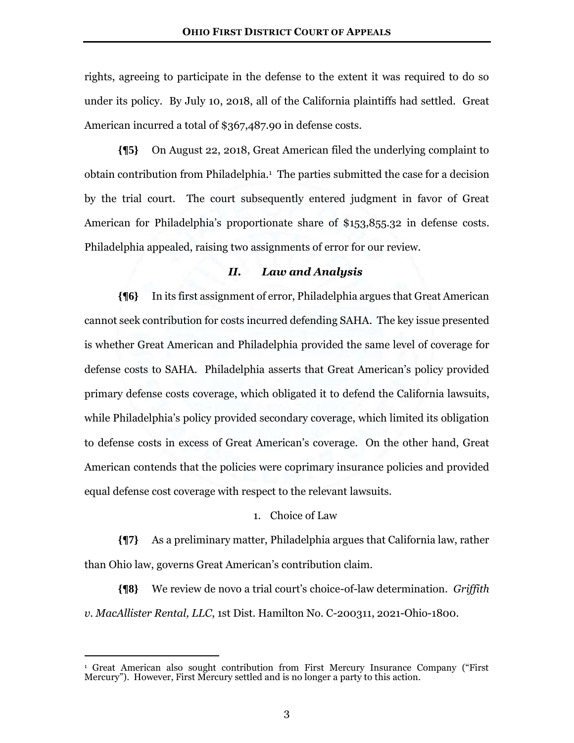rights, agreeing to participate in the defense to the extent it was required to do so under its policy. By July 10, 2018, all of the California plaintiffs had settled. Great American incurred a total of \$367,487.90 in defense costs.

**{¶5}** On August 22, 2018, Great American filed the underlying complaint to obtain contribution from Philadelphia.<sup>1</sup> The parties submitted the case for a decision by the trial court. The court subsequently entered judgment in favor of Great American for Philadelphia's proportionate share of \$153,855.32 in defense costs. Philadelphia appealed, raising two assignments of error for our review.

#### *II. Law and Analysis*

**{¶6}** In its first assignment of error, Philadelphia argues that Great American cannot seek contribution for costs incurred defending SAHA. The key issue presented is whether Great American and Philadelphia provided the same level of coverage for defense costs to SAHA. Philadelphia asserts that Great American's policy provided primary defense costs coverage, which obligated it to defend the California lawsuits, while Philadelphia's policy provided secondary coverage, which limited its obligation to defense costs in excess of Great American's coverage. On the other hand, Great American contends that the policies were coprimary insurance policies and provided equal defense cost coverage with respect to the relevant lawsuits.

## 1. Choice of Law

**{¶7}** As a preliminary matter, Philadelphia argues that California law, rather than Ohio law, governs Great American's contribution claim.

**{¶8}** We review de novo a trial court's choice-of-law determination. *Griffith v. MacAllister Rental, LLC*, 1st Dist. Hamilton No. C-200311, 2021-Ohio-1800.

<sup>1</sup> Great American also sought contribution from First Mercury Insurance Company ("First Mercury"). However, First Mercury settled and is no longer a party to this action.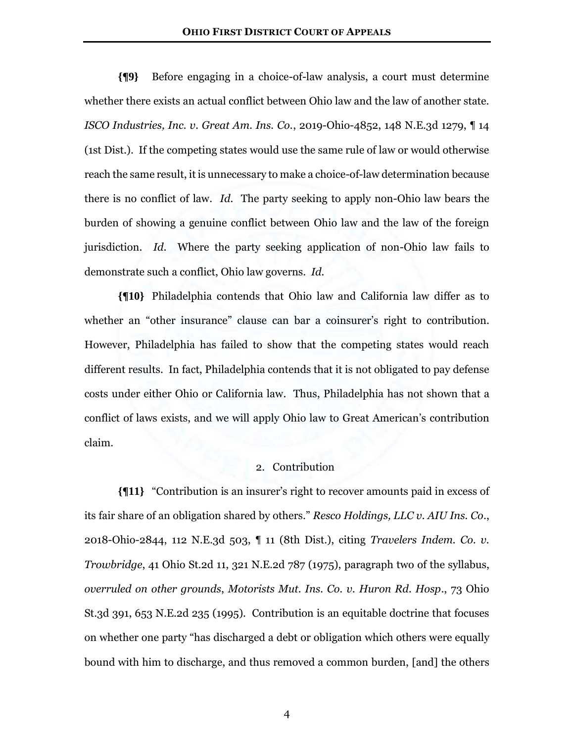**{¶9}** Before engaging in a choice-of-law analysis, a court must determine whether there exists an actual conflict between Ohio law and the law of another state. *ISCO Industries, Inc. v. Great Am. Ins. Co.*, 2019-Ohio-4852, 148 N.E.3d 1279, ¶ 14 (1st Dist.). If the competing states would use the same rule of law or would otherwise reach the same result, it is unnecessary to make a choice-of-law determination because there is no conflict of law. *Id.* The party seeking to apply non-Ohio law bears the burden of showing a genuine conflict between Ohio law and the law of the foreign jurisdiction. *Id.* Where the party seeking application of non-Ohio law fails to demonstrate such a conflict, Ohio law governs. *Id.*

**{¶10}** Philadelphia contends that Ohio law and California law differ as to whether an "other insurance" clause can bar a coinsurer's right to contribution. However, Philadelphia has failed to show that the competing states would reach different results. In fact, Philadelphia contends that it is not obligated to pay defense costs under either Ohio or California law. Thus, Philadelphia has not shown that a conflict of laws exists, and we will apply Ohio law to Great American's contribution claim.

## 2. Contribution

**{¶11}** "Contribution is an insurer's right to recover amounts paid in excess of its fair share of an obligation shared by others." *Resco Holdings, LLC v. AIU Ins. Co*., 2018-Ohio-2844, 112 N.E.3d 503, ¶ 11 (8th Dist.), citing *Travelers Indem. Co. v. Trowbridge*, 41 Ohio St.2d 11, 321 N.E.2d 787 (1975), paragraph two of the syllabus, *overruled on other grounds*, *Motorists Mut. Ins. Co. v. Huron Rd. Hosp*., 73 Ohio St.3d 391, 653 N.E.2d 235 (1995). Contribution is an equitable doctrine that focuses on whether one party "has discharged a debt or obligation which others were equally bound with him to discharge, and thus removed a common burden, [and] the others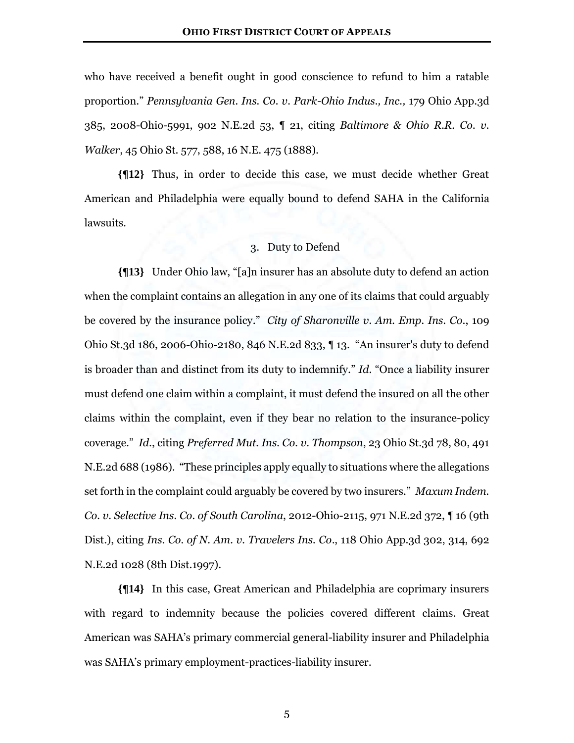who have received a benefit ought in good conscience to refund to him a ratable proportion." *Pennsylvania Gen. Ins. Co. v. Park-Ohio Indus., Inc.,* 179 Ohio App.3d 385, 2008-Ohio-5991, 902 N.E.2d 53, ¶ 21, citing *Baltimore & Ohio R.R. Co. v. Walker*, 45 Ohio St. 577, 588, 16 N.E. 475 (1888).

**{¶12}** Thus, in order to decide this case, we must decide whether Great American and Philadelphia were equally bound to defend SAHA in the California lawsuits.

## 3. Duty to Defend

**{¶13}** Under Ohio law, "[a]n insurer has an absolute duty to defend an action when the complaint contains an allegation in any one of its claims that could arguably be covered by the insurance policy." *City of Sharonville v. Am. Emp. Ins. Co*., 109 Ohio St.3d 186, 2006-Ohio-2180, 846 N.E.2d 833, ¶ 13. "An insurer's duty to defend is broader than and distinct from its duty to indemnify." *Id*. "Once a liability insurer must defend one claim within a complaint, it must defend the insured on all the other claims within the complaint, even if they bear no relation to the insurance-policy coverage." *Id*., citing *Preferred Mut. Ins. Co. v. Thompson*, 23 Ohio St.3d 78, 80, 491 N.E.2d 688 (1986). "These principles apply equally to situations where the allegations set forth in the complaint could arguably be covered by two insurers." *Maxum Indem. Co. v. Selective Ins. Co. of South Carolina*, 2012-Ohio-2115, 971 N.E.2d 372, ¶ 16 (9th Dist.), citing *Ins. Co. of N. Am. v. Travelers Ins. Co*., 118 Ohio App.3d 302, 314, 692 N.E.2d 1028 (8th Dist.1997).

**{¶14}** In this case, Great American and Philadelphia are coprimary insurers with regard to indemnity because the policies covered different claims. Great American was SAHA's primary commercial general-liability insurer and Philadelphia was SAHA's primary employment-practices-liability insurer.

5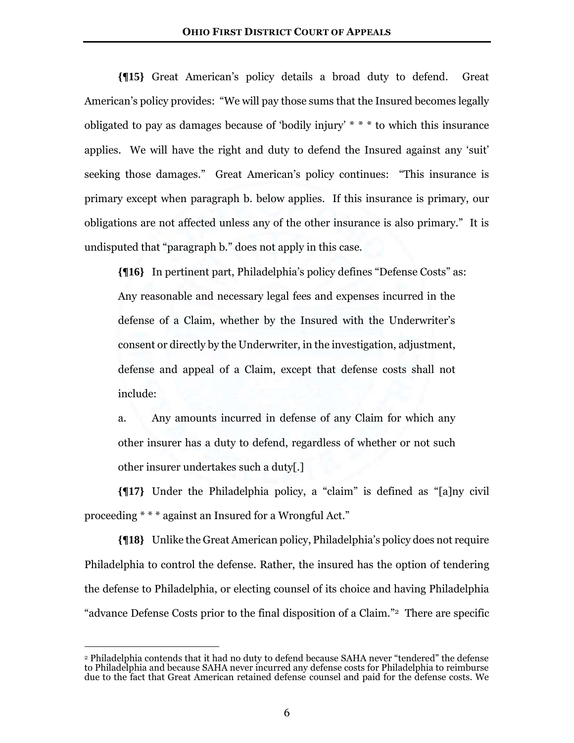**{¶15}** Great American's policy details a broad duty to defend. Great American's policy provides: "We will pay those sums that the Insured becomes legally obligated to pay as damages because of 'bodily injury' \* \* \* to which this insurance applies. We will have the right and duty to defend the Insured against any 'suit' seeking those damages." Great American's policy continues: "This insurance is primary except when paragraph b. below applies. If this insurance is primary, our obligations are not affected unless any of the other insurance is also primary." It is undisputed that "paragraph b." does not apply in this case.

**{¶16}** In pertinent part, Philadelphia's policy defines "Defense Costs" as: Any reasonable and necessary legal fees and expenses incurred in the defense of a Claim, whether by the Insured with the Underwriter's consent or directly by the Underwriter, in the investigation, adjustment, defense and appeal of a Claim, except that defense costs shall not include:

a. Any amounts incurred in defense of any Claim for which any other insurer has a duty to defend, regardless of whether or not such other insurer undertakes such a duty[.]

**{¶17}** Under the Philadelphia policy, a "claim" is defined as "[a]ny civil proceeding \* \* \* against an Insured for a Wrongful Act."

**{¶18}** Unlike the Great American policy, Philadelphia's policy does not require Philadelphia to control the defense. Rather, the insured has the option of tendering the defense to Philadelphia, or electing counsel of its choice and having Philadelphia "advance Defense Costs prior to the final disposition of a Claim."2 There are specific

<sup>2</sup> Philadelphia contends that it had no duty to defend because SAHA never "tendered" the defense to Philadelphia and because SAHA never incurred any defense costs for Philadelphia to reimburse due to the fact that Great American retained defense counsel and paid for the defense costs. We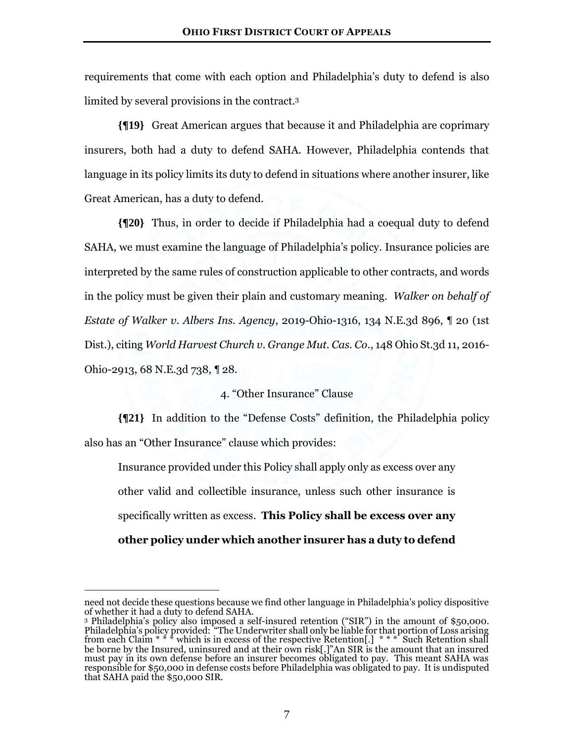requirements that come with each option and Philadelphia's duty to defend is also limited by several provisions in the contract.<sup>3</sup>

**{¶19}** Great American argues that because it and Philadelphia are coprimary insurers, both had a duty to defend SAHA. However, Philadelphia contends that language in its policy limits its duty to defend in situations where another insurer, like Great American, has a duty to defend.

**{¶20}** Thus, in order to decide if Philadelphia had a coequal duty to defend SAHA, we must examine the language of Philadelphia's policy. Insurance policies are interpreted by the same rules of construction applicable to other contracts, and words in the policy must be given their plain and customary meaning. *Walker on behalf of Estate of Walker v. Albers Ins. Agency*, 2019-Ohio-1316, 134 N.E.3d 896, ¶ 20 (1st Dist.), citing *World Harvest Church v. Grange Mut. Cas. Co.*, 148 Ohio St.3d 11, 2016- Ohio-2913, 68 N.E.3d 738, ¶ 28.

#### 4. "Other Insurance" Clause

**{¶21}** In addition to the "Defense Costs" definition, the Philadelphia policy also has an "Other Insurance" clause which provides:

Insurance provided under this Policy shall apply only as excess over any other valid and collectible insurance, unless such other insurance is specifically written as excess. **This Policy shall be excess over any other policy under which another insurer has a duty to defend** 

need not decide these questions because we find other language in Philadelphia's policy dispositive of whether it had a duty to defend SAHA.

<sup>3</sup> Philadelphia's policy also imposed a self-insured retention ("SIR") in the amount of \$50,000. Philadelphia's policy provided: "The Underwriter shall only be liable for that portion of Loss arising from each Claim  $* * *$  which is in excess of the respective Retention[.]  $* * *$  Such Retention shall be borne by the Insured, uninsured and at their own risk[.]"An SIR is the amount that an insured must pay in its own defense before an insurer becomes obligated to pay. This meant SAHA was responsible for \$50,000 in defense costs before Philadelphia was obligated to pay. It is undisputed that SAHA paid the \$50,000 SIR.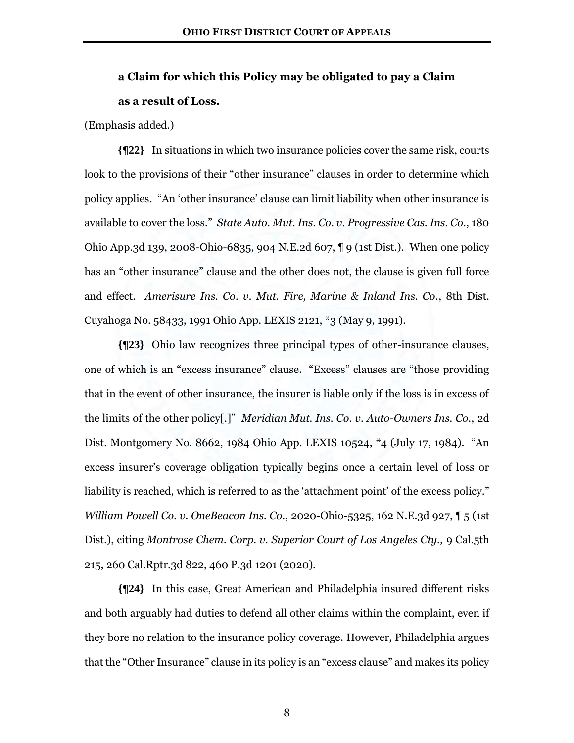## **a Claim for which this Policy may be obligated to pay a Claim as a result of Loss.**

(Emphasis added.)

**{¶22}** In situations in which two insurance policies cover the same risk, courts look to the provisions of their "other insurance" clauses in order to determine which policy applies. "An 'other insurance' clause can limit liability when other insurance is available to cover the loss." *State Auto. Mut. Ins. Co. v. Progressive Cas. Ins. Co.*, 180 Ohio App.3d 139, 2008-Ohio-6835, 904 N.E.2d 607, ¶ 9 (1st Dist.). When one policy has an "other insurance" clause and the other does not, the clause is given full force and effect. *Amerisure Ins. Co. v. Mut. Fire, Marine & Inland Ins. Co.*, 8th Dist. Cuyahoga No. 58433, 1991 Ohio App. LEXIS 2121, \*3 (May 9, 1991).

**{¶23}** Ohio law recognizes three principal types of other-insurance clauses, one of which is an "excess insurance" clause. "Excess" clauses are "those providing that in the event of other insurance, the insurer is liable only if the loss is in excess of the limits of the other policy[.]" *Meridian Mut. Ins. Co. v. Auto-Owners Ins. Co.*, 2d Dist. Montgomery No. 8662, 1984 Ohio App. LEXIS 10524, \*4 (July 17, 1984). "An excess insurer's coverage obligation typically begins once a certain level of loss or liability is reached, which is referred to as the 'attachment point' of the excess policy." *William Powell Co. v. OneBeacon Ins. Co.*, 2020-Ohio-5325, 162 N.E.3d 927, ¶ 5 (1st Dist.), citing *Montrose Chem. Corp. v. Superior Court of Los Angeles Cty.*, 9 Cal.5th 215, 260 Cal.Rptr.3d 822, 460 P.3d 1201 (2020).

**{¶24}** In this case, Great American and Philadelphia insured different risks and both arguably had duties to defend all other claims within the complaint, even if they bore no relation to the insurance policy coverage. However, Philadelphia argues that the "Other Insurance" clause in its policy is an "excess clause" and makes its policy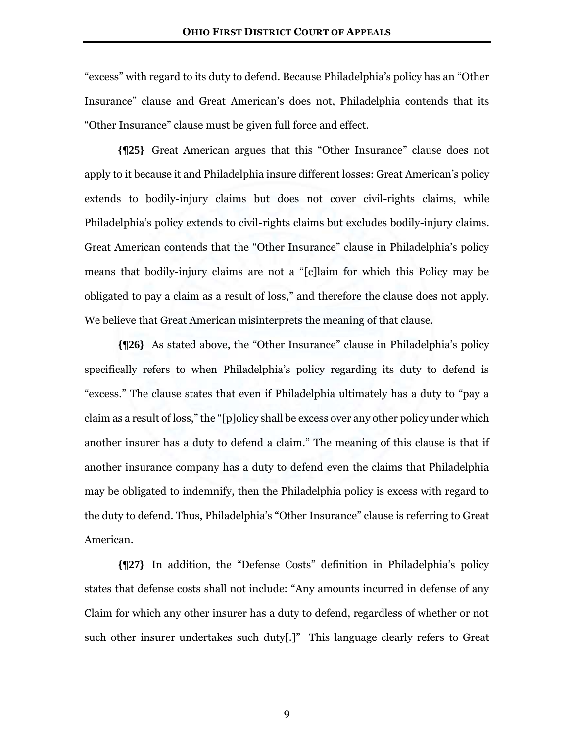"excess" with regard to its duty to defend. Because Philadelphia's policy has an "Other Insurance" clause and Great American's does not, Philadelphia contends that its "Other Insurance" clause must be given full force and effect.

**{¶25}** Great American argues that this "Other Insurance" clause does not apply to it because it and Philadelphia insure different losses: Great American's policy extends to bodily-injury claims but does not cover civil-rights claims, while Philadelphia's policy extends to civil-rights claims but excludes bodily-injury claims. Great American contends that the "Other Insurance" clause in Philadelphia's policy means that bodily-injury claims are not a "[c]laim for which this Policy may be obligated to pay a claim as a result of loss," and therefore the clause does not apply. We believe that Great American misinterprets the meaning of that clause.

**{¶26}** As stated above, the "Other Insurance" clause in Philadelphia's policy specifically refers to when Philadelphia's policy regarding its duty to defend is "excess." The clause states that even if Philadelphia ultimately has a duty to "pay a claim as a result of loss," the "[p]olicy shall be excess over any other policy under which another insurer has a duty to defend a claim." The meaning of this clause is that if another insurance company has a duty to defend even the claims that Philadelphia may be obligated to indemnify, then the Philadelphia policy is excess with regard to the duty to defend. Thus, Philadelphia's "Other Insurance" clause is referring to Great American.

**{¶27}** In addition, the "Defense Costs" definition in Philadelphia's policy states that defense costs shall not include: "Any amounts incurred in defense of any Claim for which any other insurer has a duty to defend, regardless of whether or not such other insurer undertakes such duty[.]" This language clearly refers to Great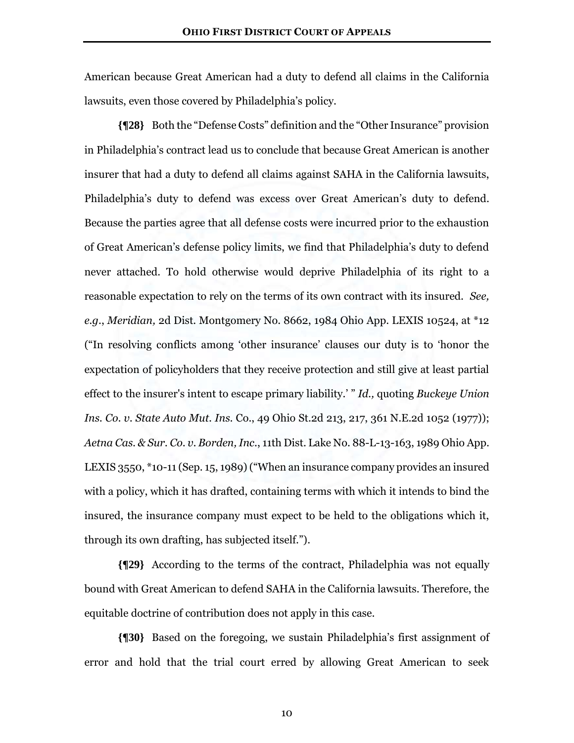American because Great American had a duty to defend all claims in the California lawsuits, even those covered by Philadelphia's policy.

**{¶28}** Both the "Defense Costs" definition and the "Other Insurance" provision in Philadelphia's contract lead us to conclude that because Great American is another insurer that had a duty to defend all claims against SAHA in the California lawsuits, Philadelphia's duty to defend was excess over Great American's duty to defend. Because the parties agree that all defense costs were incurred prior to the exhaustion of Great American's defense policy limits, we find that Philadelphia's duty to defend never attached. To hold otherwise would deprive Philadelphia of its right to a reasonable expectation to rely on the terms of its own contract with its insured. *See, e.g*., *Meridian,* 2d Dist. Montgomery No. 8662, 1984 Ohio App. LEXIS 10524, at \*12 ("In resolving conflicts among 'other insurance' clauses our duty is to 'honor the expectation of policyholders that they receive protection and still give at least partial effect to the insurer's intent to escape primary liability.' " *Id.,* quoting *Buckeye Union Ins. Co. v. State Auto Mut. Ins.* Co., 49 Ohio St.2d 213, 217, 361 N.E.2d 1052 (1977)); *Aetna Cas. & Sur. Co. v. Borden, Inc*., 11th Dist. Lake No. 88-L-13-163, 1989 Ohio App. LEXIS 3550, \*10-11 (Sep. 15, 1989)("When an insurance company provides an insured with a policy, which it has drafted, containing terms with which it intends to bind the insured, the insurance company must expect to be held to the obligations which it, through its own drafting, has subjected itself.").

**{¶29}** According to the terms of the contract, Philadelphia was not equally bound with Great American to defend SAHA in the California lawsuits. Therefore, the equitable doctrine of contribution does not apply in this case.

**{¶30}** Based on the foregoing, we sustain Philadelphia's first assignment of error and hold that the trial court erred by allowing Great American to seek

10